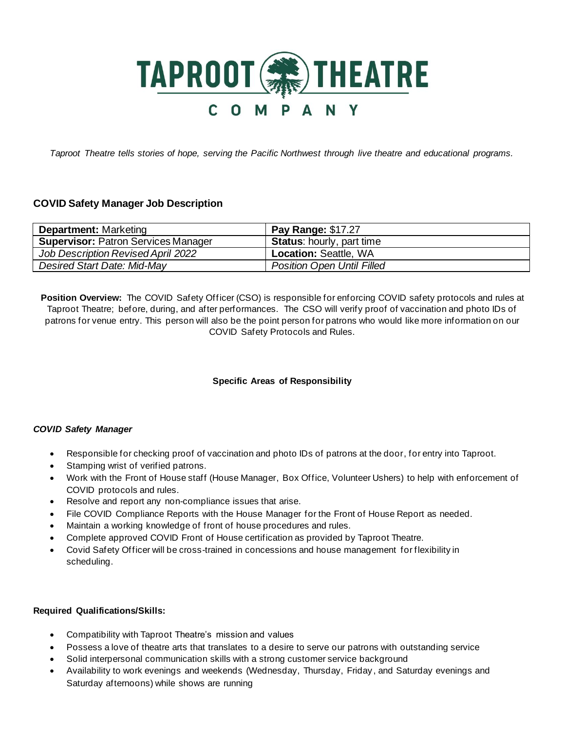

*Taproot Theatre tells stories of hope, serving the Pacific Northwest through live theatre and educational programs.*

# **COVID Safety Manager Job Description**

| <b>Department: Marketing</b>               | <b>Pay Range: \$17.27</b>         |
|--------------------------------------------|-----------------------------------|
| <b>Supervisor: Patron Services Manager</b> | <b>Status:</b> hourly, part time  |
| Job Description Revised April 2022         | <b>Location: Seattle, WA</b>      |
| Desired Start Date: Mid-May                | <b>Position Open Until Filled</b> |

**Position Overview:** The COVID Safety Officer (CSO) is responsible for enforcing COVID safety protocols and rules at Taproot Theatre; before, during, and after performances. The CSO will verify proof of vaccination and photo IDs of patrons for venue entry. This person will also be the point person for patrons who would like more information on our COVID Safety Protocols and Rules.

## **Specific Areas of Responsibility**

#### *COVID Safety Manager*

- Responsible for checking proof of vaccination and photo IDs of patrons at the door, for entry into Taproot.
- Stamping wrist of verified patrons.
- Work with the Front of House staff (House Manager, Box Office, Volunteer Ushers) to help with enforcement of COVID protocols and rules.
- Resolve and report any non-compliance issues that arise.
- File COVID Compliance Reports with the House Manager for the Front of House Report as needed.
- Maintain a working knowledge of front of house procedures and rules.
- Complete approved COVID Front of House certification as provided by Taproot Theatre.
- Covid Safety Officer will be cross-trained in concessions and house management for flexibility in scheduling.

#### **Required Qualifications/Skills:**

- Compatibility with Taproot Theatre's mission and values
- Possess a love of theatre arts that translates to a desire to serve our patrons with outstanding service
- Solid interpersonal communication skills with a strong customer service background
- Availability to work evenings and weekends (Wednesday, Thursday, Friday , and Saturday evenings and Saturday afternoons) while shows are running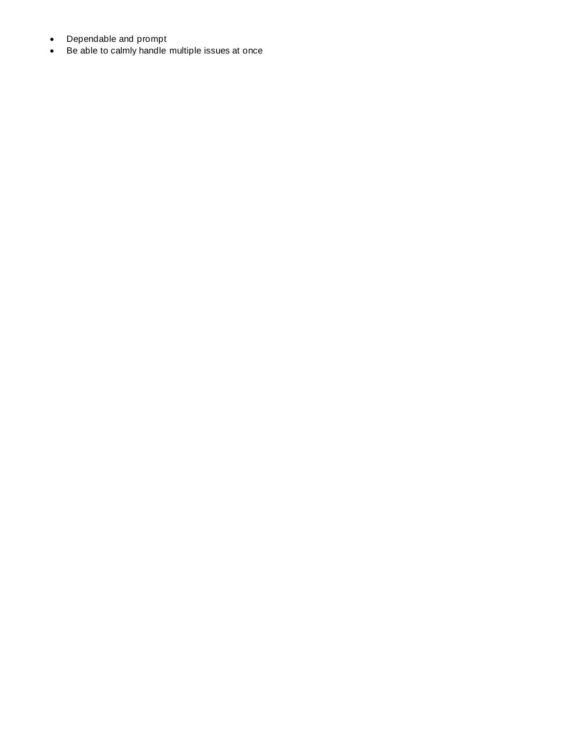- Dependable and prompt
- Be able to calmly handle multiple issues at once